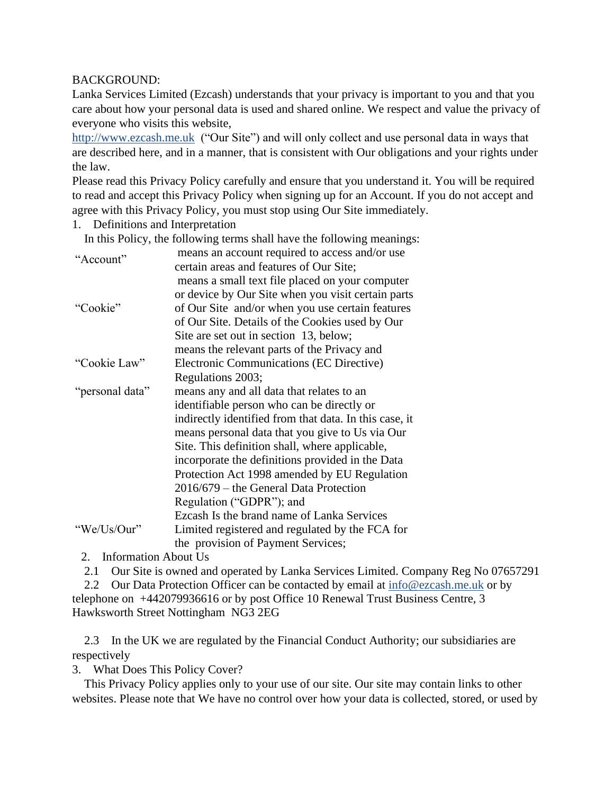## BACKGROUND:

Lanka Services Limited (Ezcash) understands that your privacy is important to you and that you care about how your personal data is used and shared online. We respect and value the privacy of everyone who visits this website,

[http://www.ezcash.me.uk](http://www.ezcash.me.uk/) ("Our Site") and will only collect and use personal data in ways that are described here, and in a manner, that is consistent with Our obligations and your rights under the law.

Please read this Privacy Policy carefully and ensure that you understand it. You will be required to read and accept this Privacy Policy when signing up for an Account. If you do not accept and agree with this Privacy Policy, you must stop using Our Site immediately.

1. Definitions and Interpretation

In this Policy, the following terms shall have the following meanings:

| "Account"       | means an account required to access and/or use         |
|-----------------|--------------------------------------------------------|
|                 | certain areas and features of Our Site;                |
|                 | means a small text file placed on your computer        |
|                 | or device by Our Site when you visit certain parts     |
| "Cookie"        | of Our Site and/or when you use certain features       |
|                 | of Our Site. Details of the Cookies used by Our        |
|                 | Site are set out in section 13, below;                 |
|                 | means the relevant parts of the Privacy and            |
| "Cookie Law"    | Electronic Communications (EC Directive)               |
|                 | Regulations 2003;                                      |
| "personal data" | means any and all data that relates to an              |
|                 | identifiable person who can be directly or             |
|                 | indirectly identified from that data. In this case, it |
|                 | means personal data that you give to Us via Our        |
|                 | Site. This definition shall, where applicable,         |
|                 | incorporate the definitions provided in the Data       |
|                 | Protection Act 1998 amended by EU Regulation           |
|                 | $2016/679$ – the General Data Protection               |
|                 | Regulation ("GDPR"); and                               |
|                 | Ezcash Is the brand name of Lanka Services             |
| "We/Us/Our"     | Limited registered and regulated by the FCA for        |
|                 | the provision of Payment Services;                     |

2. Information About Us

2.1 Our Site is owned and operated by Lanka Services Limited. Company Reg No 07657291

2.2 Our Data Protection Officer can be contacted by email at [info@ezcash.me.uk](mailto:info@ezcash.me.uk) or by telephone on +442079936616 or by post Office 10 Renewal Trust Business Centre, 3 Hawksworth Street Nottingham NG3 2EG

 2.3 In the UK we are regulated by the Financial Conduct Authority; our subsidiaries are respectively

3. What Does This Policy Cover?

 This Privacy Policy applies only to your use of our site. Our site may contain links to other websites. Please note that We have no control over how your data is collected, stored, or used by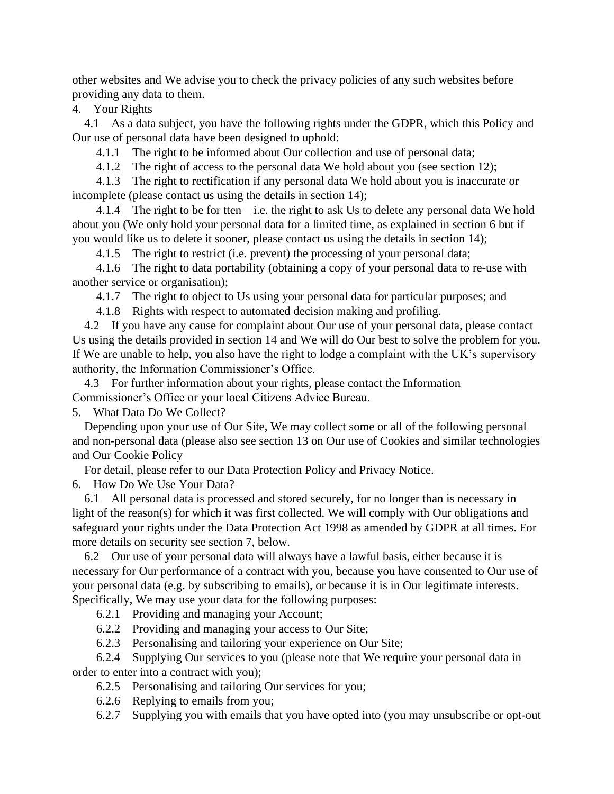other websites and We advise you to check the privacy policies of any such websites before providing any data to them.

4. Your Rights

 4.1 As a data subject, you have the following rights under the GDPR, which this Policy and Our use of personal data have been designed to uphold:

4.1.1 The right to be informed about Our collection and use of personal data;

4.1.2 The right of access to the personal data We hold about you (see section 12);

 4.1.3 The right to rectification if any personal data We hold about you is inaccurate or incomplete (please contact us using the details in section 14);

4.1.4 The right to be for tten  $-$  i.e. the right to ask Us to delete any personal data We hold about you (We only hold your personal data for a limited time, as explained in section 6 but if you would like us to delete it sooner, please contact us using the details in section 14);

4.1.5 The right to restrict (i.e. prevent) the processing of your personal data;

 4.1.6 The right to data portability (obtaining a copy of your personal data to re-use with another service or organisation);

4.1.7 The right to object to Us using your personal data for particular purposes; and

4.1.8 Rights with respect to automated decision making and profiling.

 4.2 If you have any cause for complaint about Our use of your personal data, please contact Us using the details provided in section 14 and We will do Our best to solve the problem for you. If We are unable to help, you also have the right to lodge a complaint with the UK's supervisory authority, the Information Commissioner's Office.

 4.3 For further information about your rights, please contact the Information Commissioner's Office or your local Citizens Advice Bureau.

5. What Data Do We Collect?

 Depending upon your use of Our Site, We may collect some or all of the following personal and non-personal data (please also see section 13 on Our use of Cookies and similar technologies and Our Cookie Policy

For detail, please refer to our Data Protection Policy and Privacy Notice.

6. How Do We Use Your Data?

 6.1 All personal data is processed and stored securely, for no longer than is necessary in light of the reason(s) for which it was first collected. We will comply with Our obligations and safeguard your rights under the Data Protection Act 1998 as amended by GDPR at all times. For more details on security see section 7, below.

 6.2 Our use of your personal data will always have a lawful basis, either because it is necessary for Our performance of a contract with you, because you have consented to Our use of your personal data (e.g. by subscribing to emails), or because it is in Our legitimate interests. Specifically, We may use your data for the following purposes:

6.2.1 Providing and managing your Account;

6.2.2 Providing and managing your access to Our Site;

6.2.3 Personalising and tailoring your experience on Our Site;

 6.2.4 Supplying Our services to you (please note that We require your personal data in order to enter into a contract with you);

6.2.5 Personalising and tailoring Our services for you;

6.2.6 Replying to emails from you;

6.2.7 Supplying you with emails that you have opted into (you may unsubscribe or opt-out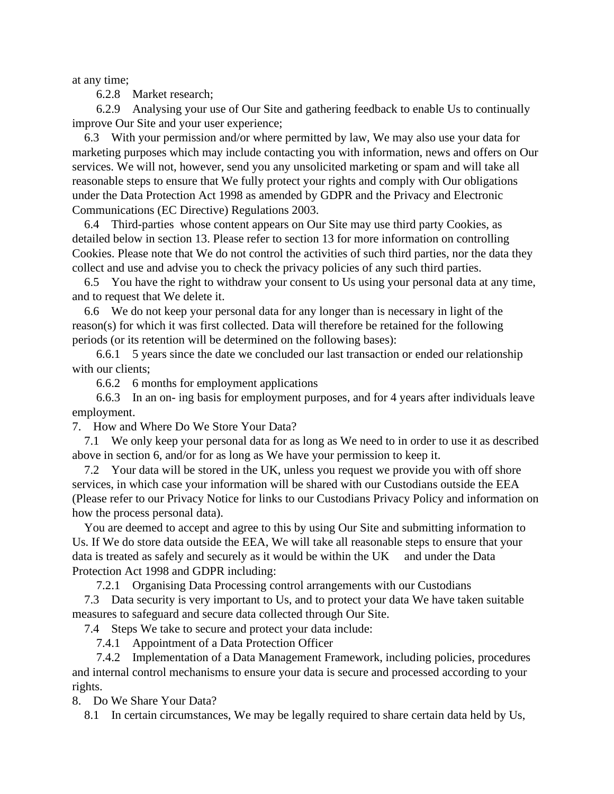at any time;

6.2.8 Market research;

 6.2.9 Analysing your use of Our Site and gathering feedback to enable Us to continually improve Our Site and your user experience;

 6.3 With your permission and/or where permitted by law, We may also use your data for marketing purposes which may include contacting you with information, news and offers on Our services. We will not, however, send you any unsolicited marketing or spam and will take all reasonable steps to ensure that We fully protect your rights and comply with Our obligations under the Data Protection Act 1998 as amended by GDPR and the Privacy and Electronic Communications (EC Directive) Regulations 2003.

 6.4 Third-parties whose content appears on Our Site may use third party Cookies, as detailed below in section 13. Please refer to section 13 for more information on controlling Cookies. Please note that We do not control the activities of such third parties, nor the data they collect and use and advise you to check the privacy policies of any such third parties.

 6.5 You have the right to withdraw your consent to Us using your personal data at any time, and to request that We delete it.

 6.6 We do not keep your personal data for any longer than is necessary in light of the reason(s) for which it was first collected. Data will therefore be retained for the following periods (or its retention will be determined on the following bases):

 6.6.1 5 years since the date we concluded our last transaction or ended our relationship with our clients;

6.6.2 6 months for employment applications

 6.6.3 In an on- ing basis for employment purposes, and for 4 years after individuals leave employment.

7. How and Where Do We Store Your Data?

 7.1 We only keep your personal data for as long as We need to in order to use it as described above in section 6, and/or for as long as We have your permission to keep it.

 7.2 Your data will be stored in the UK, unless you request we provide you with off shore services, in which case your information will be shared with our Custodians outside the EEA (Please refer to our Privacy Notice for links to our Custodians Privacy Policy and information on how the process personal data).

 You are deemed to accept and agree to this by using Our Site and submitting information to Us. If We do store data outside the EEA, We will take all reasonable steps to ensure that your data is treated as safely and securely as it would be within the UK and under the Data Protection Act 1998 and GDPR including:

7.2.1 Organising Data Processing control arrangements with our Custodians

 7.3 Data security is very important to Us, and to protect your data We have taken suitable measures to safeguard and secure data collected through Our Site.

7.4 Steps We take to secure and protect your data include:

7.4.1 Appointment of a Data Protection Officer

 7.4.2 Implementation of a Data Management Framework, including policies, procedures and internal control mechanisms to ensure your data is secure and processed according to your rights.

8. Do We Share Your Data?

8.1 In certain circumstances, We may be legally required to share certain data held by Us,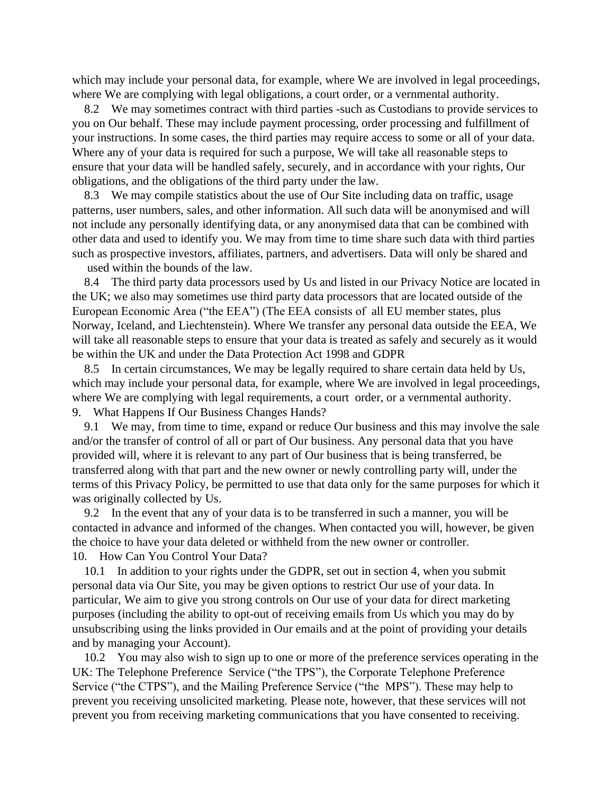which may include your personal data, for example, where We are involved in legal proceedings, where We are complying with legal obligations, a court order, or a vernmental authority.

 8.2 We may sometimes contract with third parties -such as Custodians to provide services to you on Our behalf. These may include payment processing, order processing and fulfillment of your instructions. In some cases, the third parties may require access to some or all of your data. Where any of your data is required for such a purpose, We will take all reasonable steps to ensure that your data will be handled safely, securely, and in accordance with your rights, Our obligations, and the obligations of the third party under the law.

 8.3 We may compile statistics about the use of Our Site including data on traffic, usage patterns, user numbers, sales, and other information. All such data will be anonymised and will not include any personally identifying data, or any anonymised data that can be combined with other data and used to identify you. We may from time to time share such data with third parties such as prospective investors, affiliates, partners, and advertisers. Data will only be shared and

used within the bounds of the law.

 8.4 The third party data processors used by Us and listed in our Privacy Notice are located in the UK; we also may sometimes use third party data processors that are located outside of the European Economic Area ("the EEA") (The EEA consists of all EU member states, plus Norway, Iceland, and Liechtenstein). Where We transfer any personal data outside the EEA, We will take all reasonable steps to ensure that your data is treated as safely and securely as it would be within the UK and under the Data Protection Act 1998 and GDPR

 8.5 In certain circumstances, We may be legally required to share certain data held by Us, which may include your personal data, for example, where We are involved in legal proceedings, where We are complying with legal requirements, a court order, or a vernmental authority. 9. What Happens If Our Business Changes Hands?

 9.1 We may, from time to time, expand or reduce Our business and this may involve the sale and/or the transfer of control of all or part of Our business. Any personal data that you have provided will, where it is relevant to any part of Our business that is being transferred, be transferred along with that part and the new owner or newly controlling party will, under the terms of this Privacy Policy, be permitted to use that data only for the same purposes for which it was originally collected by Us.

 9.2 In the event that any of your data is to be transferred in such a manner, you will be contacted in advance and informed of the changes. When contacted you will, however, be given the choice to have your data deleted or withheld from the new owner or controller. 10. How Can You Control Your Data?

 10.1 In addition to your rights under the GDPR, set out in section 4, when you submit personal data via Our Site, you may be given options to restrict Our use of your data. In particular, We aim to give you strong controls on Our use of your data for direct marketing purposes (including the ability to opt-out of receiving emails from Us which you may do by unsubscribing using the links provided in Our emails and at the point of providing your details and by managing your Account).

 10.2 You may also wish to sign up to one or more of the preference services operating in the UK: The Telephone Preference Service ("the TPS"), the Corporate Telephone Preference Service ("the CTPS"), and the Mailing Preference Service ("the MPS"). These may help to prevent you receiving unsolicited marketing. Please note, however, that these services will not prevent you from receiving marketing communications that you have consented to receiving.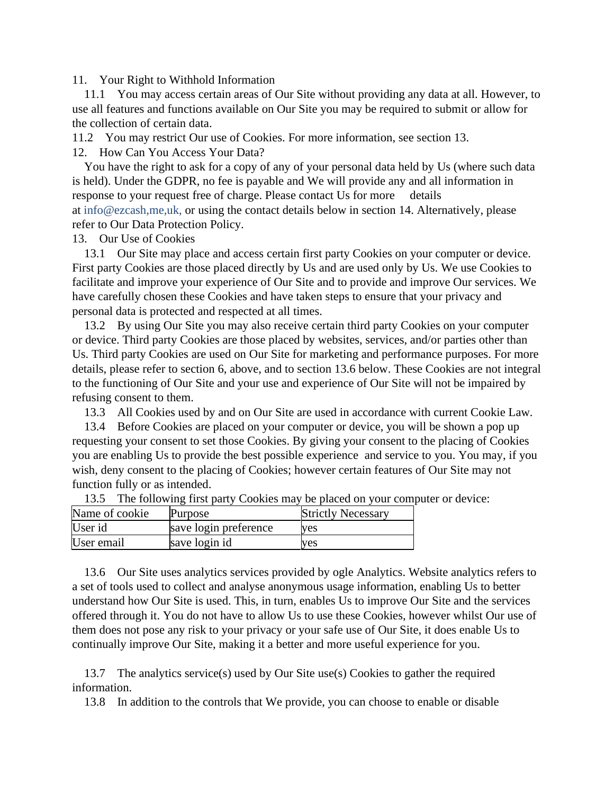11. Your Right to Withhold Information

 11.1 You may access certain areas of Our Site without providing any data at all. However, to use all features and functions available on Our Site you may be required to submit or allow for the collection of certain data.

11.2 You may restrict Our use of Cookies. For more information, see section 13.

12. How Can You Access Your Data?

 You have the right to ask for a copy of any of your personal data held by Us (where such data is held). Under the GDPR, no fee is payable and We will provide any and all information in response to your request free of charge. Please contact Us for more details at [info@ezcash,me,uk,](mailto:info@imelondon.co.uk) or using the contact details below in section 14. Alternatively, please refer to Our Data Protection Policy.

13. Our Use of Cookies

 13.1 Our Site may place and access certain first party Cookies on your computer or device. First party Cookies are those placed directly by Us and are used only by Us. We use Cookies to facilitate and improve your experience of Our Site and to provide and improve Our services. We have carefully chosen these Cookies and have taken steps to ensure that your privacy and personal data is protected and respected at all times.

 13.2 By using Our Site you may also receive certain third party Cookies on your computer or device. Third party Cookies are those placed by websites, services, and/or parties other than Us. Third party Cookies are used on Our Site for marketing and performance purposes. For more details, please refer to section 6, above, and to section 13.6 below. These Cookies are not integral to the functioning of Our Site and your use and experience of Our Site will not be impaired by refusing consent to them.

13.3 All Cookies used by and on Our Site are used in accordance with current Cookie Law.

 13.4 Before Cookies are placed on your computer or device, you will be shown a pop up requesting your consent to set those Cookies. By giving your consent to the placing of Cookies you are enabling Us to provide the best possible experience and service to you. You may, if you wish, deny consent to the placing of Cookies; however certain features of Our Site may not function fully or as intended.

Name of cookie Purpose Strictly Necessary User id save login preference yes User email save login id ves

13.5 The following first party Cookies may be placed on your computer or device:

 13.6 Our Site uses analytics services provided by ogle Analytics. Website analytics refers to a set of tools used to collect and analyse anonymous usage information, enabling Us to better understand how Our Site is used. This, in turn, enables Us to improve Our Site and the services offered through it. You do not have to allow Us to use these Cookies, however whilst Our use of them does not pose any risk to your privacy or your safe use of Our Site, it does enable Us to continually improve Our Site, making it a better and more useful experience for you.

 13.7 The analytics service(s) used by Our Site use(s) Cookies to gather the required information.

13.8 In addition to the controls that We provide, you can choose to enable or disable